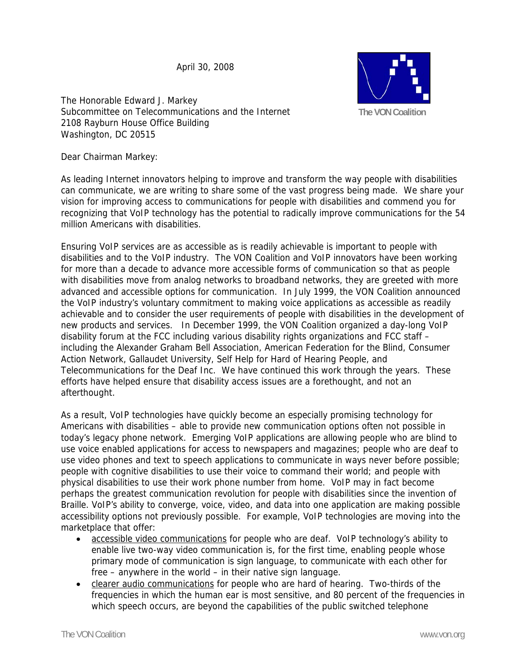April 30, 2008



The Honorable Edward J. Markey Subcommittee on Telecommunications and the Internet 2108 Rayburn House Office Building Washington, DC 20515

Dear Chairman Markey:

As leading Internet innovators helping to improve and transform the way people with disabilities can communicate, we are writing to share some of the vast progress being made. We share your vision for improving access to communications for people with disabilities and commend you for recognizing that VoIP technology has the potential to radically improve communications for the 54 million Americans with disabilities.

Ensuring VoIP services are as accessible as is readily achievable is important to people with disabilities and to the VoIP industry. The VON Coalition and VoIP innovators have been working for more than a decade to advance more accessible forms of communication so that as people with disabilities move from analog networks to broadband networks, they are greeted with more advanced and accessible options for communication. In July 1999, the VON Coalition announced the VoIP industry's voluntary commitment to making voice applications as accessible as readily achievable and to consider the user requirements of people with disabilities in the development of new products and services. In December 1999, the VON Coalition organized a day-long VoIP disability forum at the FCC including various disability rights organizations and FCC staff – including the Alexander Graham Bell Association, American Federation for the Blind, Consumer Action Network, Gallaudet University, Self Help for Hard of Hearing People, and Telecommunications for the Deaf Inc. We have continued this work through the years. These efforts have helped ensure that disability access issues are a forethought, and not an afterthought.

As a result, VoIP technologies have quickly become an especially promising technology for Americans with disabilities – able to provide new communication options often not possible in today's legacy phone network. Emerging VoIP applications are allowing people who are blind to use voice enabled applications for access to newspapers and magazines; people who are deaf to use video phones and text to speech applications to communicate in ways never before possible; people with cognitive disabilities to use their voice to command their world; and people with physical disabilities to use their work phone number from home. VoIP may in fact become perhaps the greatest communication revolution for people with disabilities since the invention of Braille. VoIP's ability to converge, voice, video, and data into one application are making possible accessibility options not previously possible. For example, VoIP technologies are moving into the marketplace that offer:

- accessible video communications for people who are deaf. VoIP technology's ability to enable live two-way video communication is, for the first time, enabling people whose primary mode of communication is sign language, to communicate with each other for free – anywhere in the world – in their native sign language.
- clearer audio communications for people who are hard of hearing. Two-thirds of the frequencies in which the human ear is most sensitive, and 80 percent of the frequencies in which speech occurs, are beyond the capabilities of the public switched telephone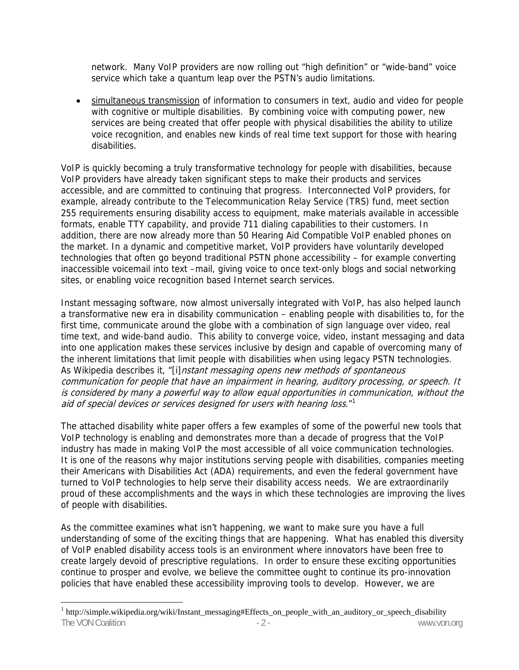network. Many VoIP providers are now rolling out "high definition" or "wide-band" voice service which take a quantum leap over the PSTN's audio limitations.

• simultaneous transmission of information to consumers in text, audio and video for people with cognitive or multiple disabilities. By combining voice with computing power, new services are being created that offer people with physical disabilities the ability to utilize voice recognition, and enables new kinds of real time text support for those with hearing disabilities.

VoIP is quickly becoming a truly transformative technology for people with disabilities, because VoIP providers have already taken significant steps to make their products and services accessible, and are committed to continuing that progress. Interconnected VoIP providers, for example, already contribute to the Telecommunication Relay Service (TRS) fund, meet section 255 requirements ensuring disability access to equipment, make materials available in accessible formats, enable TTY capability, and provide 711 dialing capabilities to their customers. In addition, there are now already more than 50 Hearing Aid Compatible VoIP enabled phones on the market. In a dynamic and competitive market, VoIP providers have voluntarily developed technologies that often go beyond traditional PSTN phone accessibility – for example converting inaccessible voicemail into text –mail, giving voice to once text-only blogs and social networking sites, or enabling voice recognition based Internet search services.

Instant messaging software, now almost universally integrated with VoIP, has also helped launch a transformative new era in disability communication – enabling people with disabilities to, for the first time, communicate around the globe with a combination of sign language over video, real time text, and wide-band audio. This ability to converge voice, video, instant messaging and data into one application makes these services inclusive by design and capable of overcoming many of the inherent limitations that limit people with disabilities when using legacy PSTN technologies. As Wikipedia describes it, "[i]nstant messaging opens new methods of spontaneous communication for people that have an impairment in hearing, auditory processing, or speech. It is considered by many a powerful way to allow equal opportunities in communication, without the aid of special devices or services designed for users with hearing loss." $1$ 

The attached disability white paper offers a few examples of some of the powerful new tools that VoIP technology is enabling and demonstrates more than a decade of progress that the VoIP industry has made in making VoIP the most accessible of all voice communication technologies. It is one of the reasons why major institutions serving people with disabilities, companies meeting their Americans with Disabilities Act (ADA) requirements, and even the federal government have turned to VoIP technologies to help serve their disability access needs. We are extraordinarily proud of these accomplishments and the ways in which these technologies are improving the lives of people with disabilities.

As the committee examines what isn't happening, we want to make sure you have a full understanding of some of the exciting things that are happening. What has enabled this diversity of VoIP enabled disability access tools is an environment where innovators have been free to create largely devoid of prescriptive regulations. In order to ensure these exciting opportunities continue to prosper and evolve, we believe the committee ought to continue its pro-innovation policies that have enabled these accessibility improving tools to develop. However, we are

 $\overline{a}$ 

The VON Coalition  $\overline{a}$  - 2 - www.von.org www.von.org <sup>1</sup> http://simple.wikipedia.org/wiki/Instant\_messaging#Effects\_on\_people\_with\_an\_auditory\_or\_speech\_disability